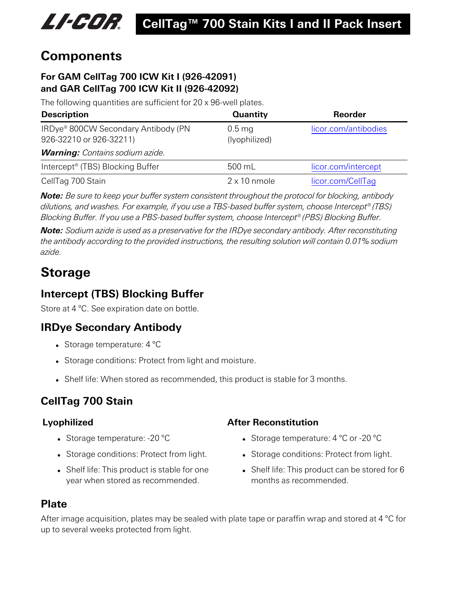

## **Components**

#### **For GAM CellTag 700 ICW Kit I (926-42091) and GAR CellTag 700 ICW Kit II (926-42092)**

The following quantities are sufficient for 20 x 96-well plates.

| <b>Description</b>                                                         | <b>Quantity</b>           | Reorder              |
|----------------------------------------------------------------------------|---------------------------|----------------------|
| IRDye <sup>®</sup> 800CW Secondary Antibody (PN<br>926-32210 or 926-32211) | $0.5$ mg<br>(lyophilized) | licor.com/antibodies |
| <b>Warning:</b> Contains sodium azide.                                     |                           |                      |
| Intercept <sup>®</sup> (TBS) Blocking Buffer                               | 500 mL                    | licor.com/intercept  |
| CellTag 700 Stain                                                          | $2 \times 10$ nmole       | licor.com/CellTag    |

*Note: Be sure to keep your buffer system consistent throughout the protocol for blocking, antibody dilutions, and washes. For example, if you use a TBS-based buffer system, choose Intercept® (TBS) Blocking Buffer. If you use a PBS-based buffer system, choose Intercept® (PBS) Blocking Buffer.*

*Note: Sodium azide is used as a preservative for the IRDye secondary antibody. After reconstituting the antibody according to the provided instructions, the resulting solution will contain 0.01% sodium azide.*

# **Storage**

### **Intercept (TBS) Blocking Buffer**

Store at 4 °C. See expiration date on bottle.

### **IRDye Secondary Antibody**

- Storage temperature:  $4^{\circ}$ C
- Storage conditions: Protect from light and moisture.
- Shelf life: When stored as recommended, this product is stable for 3 months.

### **CellTag 700 Stain**

- Storage temperature:  $-20$  °C
- Storage conditions: Protect from light.
- Shelf life: This product is stable for one year when stored as recommended.

### **Lyophilized After Reconstitution**

- Storage temperature:  $4^{\circ}$ C or -20  $^{\circ}$ C
- Storage conditions: Protect from light.
- Shelf life: This product can be stored for 6 months as recommended.

### **Plate**

After image acquisition, plates may be sealed with plate tape or paraffin wrap and stored at 4 °C for up to several weeks protected from light.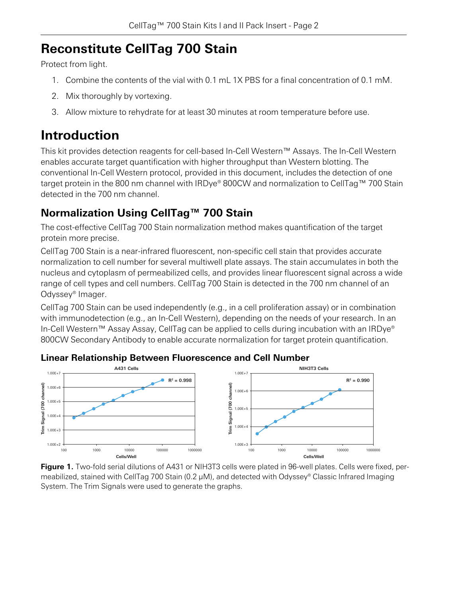# <span id="page-1-0"></span>**Reconstitute CellTag 700 Stain**

Protect from light.

- 1. Combine the contents of the vial with 0.1 mL 1X PBS for a final concentration of 0.1 mM.
- 2. Mix thoroughly by vortexing.
- 3. Allow mixture to rehydrate for at least 30 minutes at room temperature before use.

# **Introduction**

This kit provides detection reagents for cell-based In-Cell Western™ Assays. The In-Cell Western enables accurate target quantification with higher throughput than Western blotting. The conventional In-Cell Western protocol, provided in this document, includes the detection of one target protein in the 800 nm channel with IRDye® 800CW and normalization to CellTag™ 700 Stain detected in the 700 nm channel.

## **Normalization Using CellTag™ 700 Stain**

The cost-effective CellTag 700 Stain normalization method makes quantification of the target protein more precise.

CellTag 700 Stain is a near-infrared fluorescent, non-specific cell stain that provides accurate normalization to cell number for several multiwell plate assays. The stain accumulates in both the nucleus and cytoplasm of permeabilized cells, and provides linear fluorescent signal across a wide range of cell types and cell numbers. CellTag 700 Stain is detected in the 700 nm channel of an Odyssey® Imager.

CellTag 700 Stain can be used independently (e.g., in a cell proliferation assay) or in combination with immunodetection (e.g., an In-Cell Western), depending on the needs of your research. In an In-Cell Western™ Assay Assay, CellTag can be applied to cells during incubation with an IRDye® 800CW Secondary Antibody to enable accurate normalization for target protein quantification.



### **Linear Relationship Between Fluorescence and Cell Number**

**Figure 1.** Two-fold serial dilutions of A431 or NIH3T3 cells were plated in 96-well plates. Cells were fixed, permeabilized, stained with CellTag 700 Stain (0.2 µM), and detected with Odyssey® Classic Infrared Imaging System. The Trim Signals were used to generate the graphs.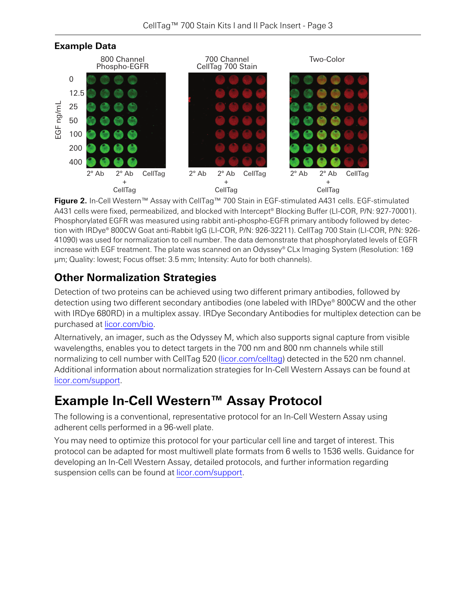

**Figure 2.** In-Cell Western™ Assay with CellTag™ 700 Stain in EGF-stimulated A431 cells. EGF-stimulated A431 cells were fixed, permeabilized, and blocked with Intercept® Blocking Buffer (LI-COR, P/N: 927-70001). Phosphorylated EGFR was measured using rabbit anti-phospho-EGFR primary antibody followed by detection with IRDye® 800CW Goat anti-Rabbit IgG (LI-COR, P/N: 926-32211). CellTag 700 Stain (LI-COR, P/N: 926- 41090) was used for normalization to cell number. The data demonstrate that phosphorylated levels of EGFR increase with EGF treatment. The plate was scanned on an Odyssey® CLx Imaging System (Resolution: 169 µm; Quality: lowest; Focus offset: 3.5 mm; Intensity: Auto for both channels).

### **Other Normalization Strategies**

Detection of two proteins can be achieved using two different primary antibodies, followed by detection using two different secondary antibodies (one labeled with IRDye® 800CW and the other with IRDye 680RD) in a multiplex assay. IRDye Secondary Antibodies for multiplex detection can be purchased at [licor.com/bio](https://www.licor.com/bio).

Alternatively, an imager, such as the Odyssey M, which also supports signal capture from visible wavelengths, enables you to detect targets in the 700 nm and 800 nm channels while still normalizing to cell number with CellTag 520 ([licor.com/celltag\)](https://www.licor.com/celltag) detected in the 520 nm channel. Additional information about normalization strategies for In-Cell Western Assays can be found at [licor.com/support](https://www.licor.com/support).

# **Example In-Cell Western™ Assay Protocol**

The following is a conventional, representative protocol for an In-Cell Western Assay using adherent cells performed in a 96-well plate.

You may need to optimize this protocol for your particular cell line and target of interest. This protocol can be adapted for most multiwell plate formats from 6 wells to 1536 wells. Guidance for developing an In-Cell Western Assay, detailed protocols, and further information regarding suspension cells can be found at [licor.com/support](https://www.licor.com/support).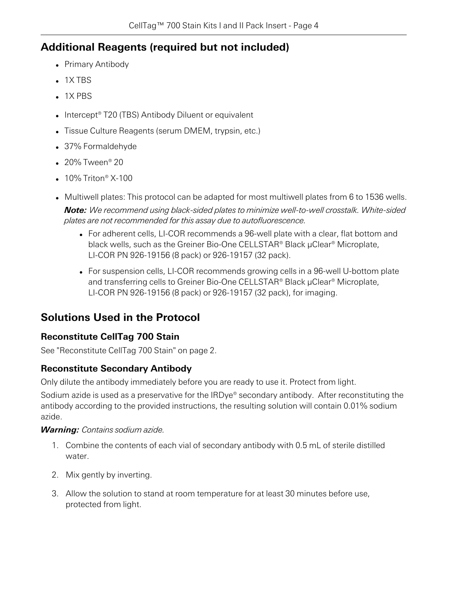### **Additional Reagents (required but not included)**

- Primary Antibody
- $.1X TRS$
- $.1X$  PBS
- Intercept® T20 (TBS) Antibody Diluent or equivalent
- Tissue Culture Reagents (serum DMEM, trypsin, etc.)
- 37% Formaldehyde
- $\cdot$  20% Tween® 20
- $\cdot$  10% Triton® X-100
- Multiwell plates: This protocol can be adapted for most multiwell plates from 6 to 1536 wells. *Note: We recommend using black-sided plates to minimize well-to-well crosstalk. White-sided plates are not recommended for this assay due to autofluorescence.*
	- For adherent cells, LI-COR recommends a 96-well plate with a clear, flat bottom and black wells, such as the Greiner Bio-One CELLSTAR® Black μClear® Microplate, LI-COR PN 926-19156 (8 pack) or 926-19157 (32 pack).
	- For suspension cells, LI-COR recommends growing cells in a 96-well U-bottom plate and transferring cells to Greiner Bio-One CELLSTAR® Black μClear® Microplate, LI-COR PN 926-19156 (8 pack) or 926-19157 (32 pack), for imaging.

### **Solutions Used in the Protocol**

### **Reconstitute CellTag 700 Stain**

See ["Reconstitute](#page-1-0) CellTag 700 Stain" on page 2.

### **Reconstitute Secondary Antibody**

Only dilute the antibody immediately before you are ready to use it. Protect from light.

Sodium azide is used as a preservative for the IRDye® secondary antibody. After reconstituting the antibody according to the provided instructions, the resulting solution will contain 0.01% sodium azide.

#### *Warning: Contains sodium azide.*

- 1. Combine the contents of each vial of secondary antibody with 0.5 mL of sterile distilled water.
- 2. Mix gently by inverting.
- 3. Allow the solution to stand at room temperature for at least 30 minutes before use, protected from light.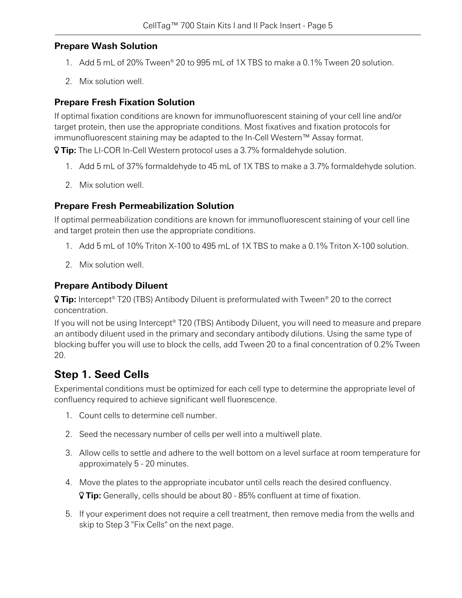#### **Prepare Wash Solution**

- 1. Add 5 mL of 20% Tween® 20 to 995 mL of 1X TBS to make a 0.1% Tween 20 solution.
- 2. Mix solution well.

#### **Prepare Fresh Fixation Solution**

If optimal fixation conditions are known for immunofluorescent staining of your cell line and/or target protein, then use the appropriate conditions. Most fixatives and fixation protocols for immunofluorescent staining may be adapted to the In-Cell Western™ Assay format.

**Tip:** The LI-COR In-Cell Western protocol uses a 3.7% formaldehyde solution.

- 1. Add 5 mL of 37% formaldehyde to 45 mL of 1X TBS to make a 3.7% formaldehyde solution.
- 2. Mix solution well.

#### **Prepare Fresh Permeabilization Solution**

If optimal permeabilization conditions are known for immunofluorescent staining of your cell line and target protein then use the appropriate conditions.

- 1. Add 5 mL of 10% Triton X-100 to 495 mL of 1X TBS to make a 0.1% Triton X-100 solution.
- 2. Mix solution well.

#### **Prepare Antibody Diluent**

 **Tip:** Intercept® T20 (TBS) Antibody Diluent is preformulated with Tween® 20 to the correct concentration.

If you will not be using Intercept® T20 (TBS) Antibody Diluent, you will need to measure and prepare an antibody diluent used in the primary and secondary antibody dilutions. Using the same type of blocking buffer you will use to block the cells, add Tween 20 to a final concentration of 0.2% Tween 20.

### **Step 1. Seed Cells**

Experimental conditions must be optimized for each cell type to determine the appropriate level of confluency required to achieve significant well fluorescence.

- 1. Count cells to determine cell number.
- 2. Seed the necessary number of cells per well into a multiwell plate.
- 3. Allow cells to settle and adhere to the well bottom on a level surface at room temperature for approximately 5 - 20 minutes.
- 4. Move the plates to the appropriate incubator until cells reach the desired confluency. **Tip:** Generally, cells should be about 80 - 85% confluent at time of fixation.
- 5. If your experiment does not require a cell treatment, then remove media from the wells and skip to [Step](#page-5-0) 3 "Fix [Cells"](#page-5-0) on the next page.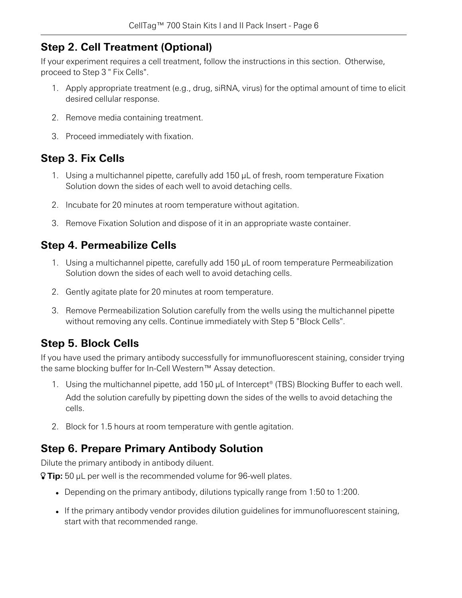### **Step 2. Cell Treatment (Optional)**

If your experiment requires a cell treatment, follow the instructions in this section. Otherwise, proceed to [Step](#page-5-0) 3 " Fix [Cells](#page-5-0)".

- 1. Apply appropriate treatment (e.g., drug, siRNA, virus) for the optimal amount of time to elicit desired cellular response.
- 2. Remove media containing treatment.
- <span id="page-5-0"></span>3. Proceed immediately with fixation.

### **Step 3. Fix Cells**

- 1. Using a multichannel pipette, carefully add 150 µL of fresh, room temperature Fixation Solution down the sides of each well to avoid detaching cells.
- 2. Incubate for 20 minutes at room temperature without agitation.
- 3. Remove Fixation Solution and dispose of it in an appropriate waste container.

### **Step 4. Permeabilize Cells**

- 1. Using a multichannel pipette, carefully add 150 µL of room temperature Permeabilization Solution down the sides of each well to avoid detaching cells.
- 2. Gently agitate plate for 20 minutes at room temperature.
- 3. Remove Permeabilization Solution carefully from the wells using the multichannel pipette without removing any cells. Continue immediately with [Step](#page-5-1) 5 "[Block](#page-5-1) Cells".

### <span id="page-5-1"></span>**Step 5. Block Cells**

If you have used the primary antibody successfully for immunofluorescent staining, consider trying the same blocking buffer for In-Cell Western™ Assay detection.

- 1. Using the multichannel pipette, add 150 µL of Intercept® (TBS) Blocking Buffer to each well. Add the solution carefully by pipetting down the sides of the wells to avoid detaching the cells.
- 2. Block for 1.5 hours at room temperature with gentle agitation.

### **Step 6. Prepare Primary Antibody Solution**

Dilute the primary antibody in antibody diluent.

**Tip:** 50 µL per well is the recommended volume for 96-well plates.

- Depending on the primary antibody, dilutions typically range from 1:50 to 1:200.
- If the primary antibody vendor provides dilution guidelines for immunofluorescent staining, start with that recommended range.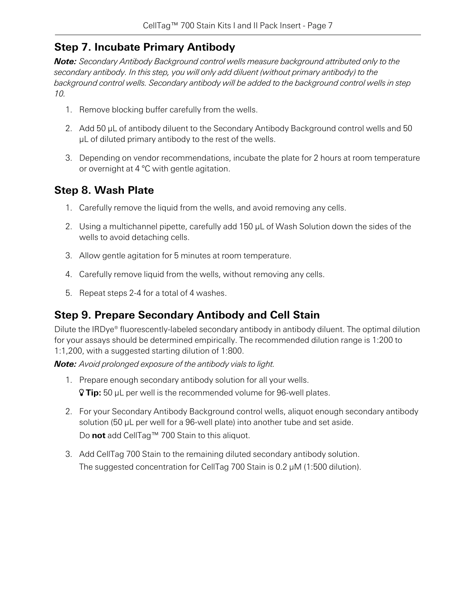### **Step 7. Incubate Primary Antibody**

*Note: Secondary Antibody Background control wells measure background attributed only to the secondary antibody. In this step, you will only add diluent (without primary antibody) to the background control wells. Secondary antibody will be added to the background control wells in step 10.*

- 1. Remove blocking buffer carefully from the wells.
- 2. Add 50 µL of antibody diluent to the Secondary Antibody Background control wells and 50 µL of diluted primary antibody to the rest of the wells.
- 3. Depending on vendor recommendations, incubate the plate for 2 hours at room temperature or overnight at 4 °C with gentle agitation.

### **Step 8. Wash Plate**

- 1. Carefully remove the liquid from the wells, and avoid removing any cells.
- 2. Using a multichannel pipette, carefully add 150 µL of Wash Solution down the sides of the wells to avoid detaching cells.
- 3. Allow gentle agitation for 5 minutes at room temperature.
- 4. Carefully remove liquid from the wells, without removing any cells.
- 5. Repeat steps 2-4 for a total of 4 washes.

### **Step 9. Prepare Secondary Antibody and Cell Stain**

Dilute the IRDye® fluorescently-labeled secondary antibody in antibody diluent. The optimal dilution for your assays should be determined empirically. The recommended dilution range is 1:200 to 1:1,200, with a suggested starting dilution of 1:800.

*Note: Avoid prolonged exposure of the antibody vials to light.*

- 1. Prepare enough secondary antibody solution for all your wells. **Tip:** 50 µL per well is the recommended volume for 96-well plates.
- 2. For your Secondary Antibody Background control wells, aliquot enough secondary antibody solution (50 µL per well for a 96-well plate) into another tube and set aside. Do **not** add CellTag™ 700 Stain to this aliquot.
- 3. Add CellTag 700 Stain to the remaining diluted secondary antibody solution. The suggested concentration for CellTag 700 Stain is 0.2 µM (1:500 dilution).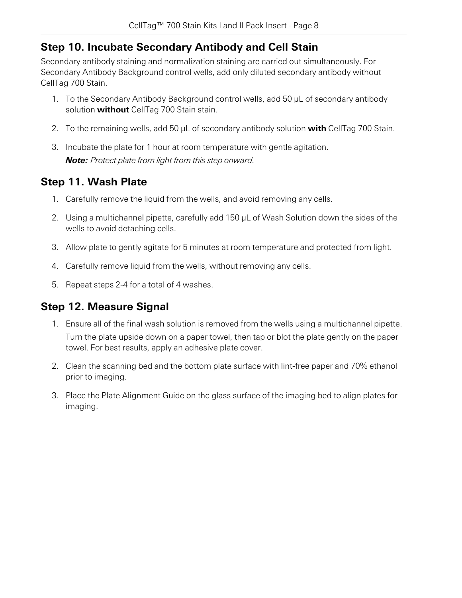### **Step 10. Incubate Secondary Antibody and Cell Stain**

Secondary antibody staining and normalization staining are carried out simultaneously. For Secondary Antibody Background control wells, add only diluted secondary antibody without CellTag 700 Stain.

- 1. To the Secondary Antibody Background control wells, add 50 µL of secondary antibody solution **without** CellTag 700 Stain stain.
- 2. To the remaining wells, add 50 µL of secondary antibody solution **with** CellTag 700 Stain.
- 3. Incubate the plate for 1 hour at room temperature with gentle agitation. *Note: Protect plate from light from this step onward.*

### **Step 11. Wash Plate**

- 1. Carefully remove the liquid from the wells, and avoid removing any cells.
- 2. Using a multichannel pipette, carefully add 150 µL of Wash Solution down the sides of the wells to avoid detaching cells.
- 3. Allow plate to gently agitate for 5 minutes at room temperature and protected from light.
- 4. Carefully remove liquid from the wells, without removing any cells.
- 5. Repeat steps 2-4 for a total of 4 washes.

### **Step 12. Measure Signal**

- 1. Ensure all of the final wash solution is removed from the wells using a multichannel pipette. Turn the plate upside down on a paper towel, then tap or blot the plate gently on the paper towel. For best results, apply an adhesive plate cover.
- 2. Clean the scanning bed and the bottom plate surface with lint-free paper and 70% ethanol prior to imaging.
- 3. Place the Plate Alignment Guide on the glass surface of the imaging bed to align plates for imaging.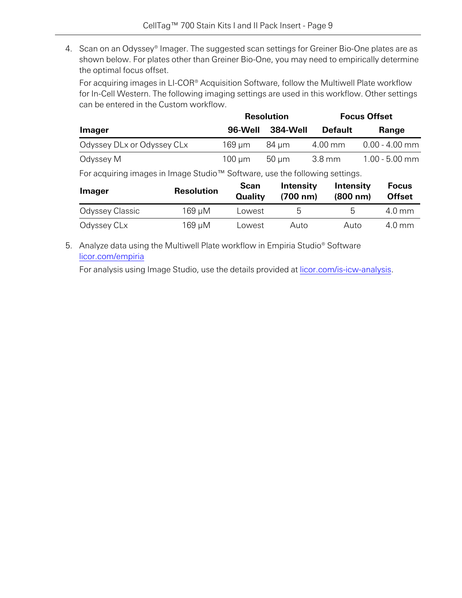4. Scan on an Odyssey® Imager. The suggested scan settings for Greiner Bio-One plates are as shown below. For plates other than Greiner Bio-One, you may need to empirically determine the optimal focus offset.

For acquiring images in LI-COR® Acquisition Software, follow the Multiwell Plate workflow for In-Cell Western. The following imaging settings are used in this workflow. Other settings can be entered in the Custom workflow.

|                            |             | <b>Resolution</b> | <b>Focus Offset</b> |                  |
|----------------------------|-------------|-------------------|---------------------|------------------|
| <b>Imager</b>              | 96-Well     | 384-Well          | <b>Default</b>      | Range            |
| Odyssey DLx or Odyssey CLx | $169 \mu m$ | 84 um             | 4.00 mm             | $0.00 - 4.00$ mm |
| Odyssey M                  | $100 \mu m$ | 50 µm             | 3.8 mm              | $1.00 - 5.00$ mm |

For acquiring images in Image Studio™ Software, use the following settings.

| <b>Imager</b>   | <b>Resolution</b> | Scan<br><b>Quality</b> | Intensity<br>(700 nm) | Intensity<br>(800 nm) | <b>Focus</b><br><b>Offset</b> |
|-----------------|-------------------|------------------------|-----------------------|-----------------------|-------------------------------|
| Odyssey Classic | 169 µM            | Lowest                 | ხ                     | h                     | 4.0 mm                        |
| Odyssey CLx     | 169 µM            | Lowest                 | Auto                  | Auto                  | $4.0 \text{ mm}$              |

5. Analyze data using the Multiwell Plate workflow in Empiria Studio® Software [licor.com/empiria](https://www.licor.com/empiria)

For analysis using Image Studio, use the details provided at [licor.com/is-icw-analysis.](https://www.licor.com/is-icw-analysis)